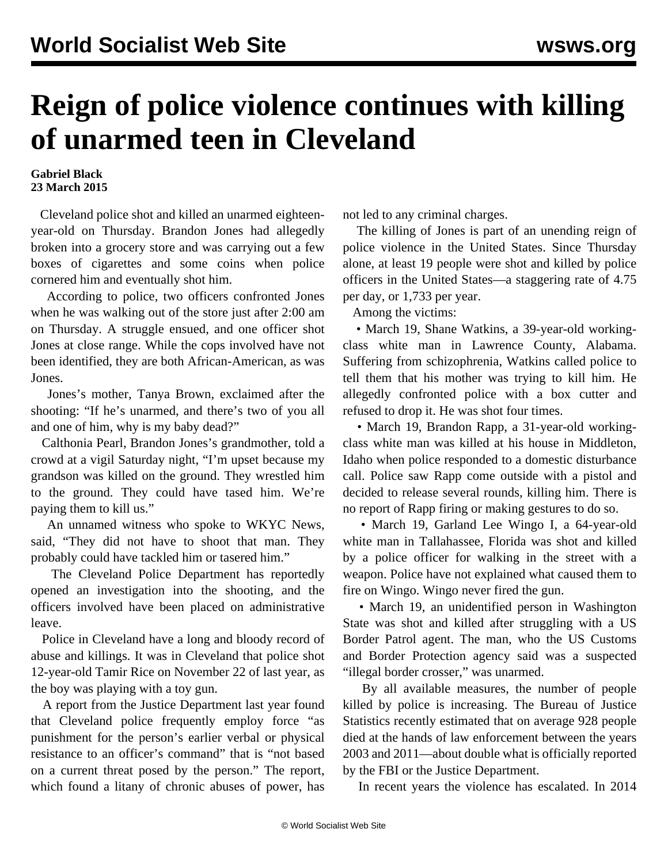## **Reign of police violence continues with killing of unarmed teen in Cleveland**

## **Gabriel Black 23 March 2015**

 Cleveland police shot and killed an unarmed eighteenyear-old on Thursday. Brandon Jones had allegedly broken into a grocery store and was carrying out a few boxes of cigarettes and some coins when police cornered him and eventually shot him.

 According to police, two officers confronted Jones when he was walking out of the store just after 2:00 am on Thursday. A struggle ensued, and one officer shot Jones at close range. While the cops involved have not been identified, they are both African-American, as was Jones.

 Jones's mother, Tanya Brown, exclaimed after the shooting: "If he's unarmed, and there's two of you all and one of him, why is my baby dead?"

 Calthonia Pearl, Brandon Jones's grandmother, told a crowd at a vigil Saturday night, "I'm upset because my grandson was killed on the ground. They wrestled him to the ground. They could have tased him. We're paying them to kill us."

 An unnamed witness who spoke to WKYC News, said, "They did not have to shoot that man. They probably could have tackled him or tasered him."

 The Cleveland Police Department has reportedly opened an investigation into the shooting, and the officers involved have been placed on administrative leave.

 Police in Cleveland have a long and bloody record of abuse and killings. It was in Cleveland that police shot 12-year-old Tamir Rice on November 22 of last year, as the boy was playing with a toy gun.

 A [report](/en/articles/2014/12/06/clev-d06.html) from the Justice Department last year found that Cleveland police frequently employ force "as punishment for the person's earlier verbal or physical resistance to an officer's command" that is "not based on a current threat posed by the person." The report, which found a litany of chronic abuses of power, has

not led to any criminal charges.

 The killing of Jones is part of an unending reign of police violence in the United States. Since Thursday alone, at least 19 people were shot and killed by police officers in the United States—a staggering rate of 4.75 per day, or 1,733 per year.

Among the victims:

 • March 19, Shane Watkins, a 39-year-old workingclass white man in Lawrence County, Alabama. Suffering from schizophrenia, Watkins called police to tell them that his mother was trying to kill him. He allegedly confronted police with a box cutter and refused to drop it. He was shot four times.

 • March 19, Brandon Rapp, a 31-year-old workingclass white man was killed at his house in Middleton, Idaho when police responded to a domestic disturbance call. Police saw Rapp come outside with a pistol and decided to release several rounds, killing him. There is no report of Rapp firing or making gestures to do so.

 • March 19, Garland Lee Wingo I, a 64-year-old white man in Tallahassee, Florida was shot and killed by a police officer for walking in the street with a weapon. Police have not explained what caused them to fire on Wingo. Wingo never fired the gun.

 • March 19, an unidentified person in Washington State was shot and killed after struggling with a US Border Patrol agent. The man, who the US Customs and Border Protection agency said was a suspected "illegal border crosser," was unarmed.

 By all available measures, the number of people killed by police is increasing. The Bureau of Justice Statistics recently estimated that on average 928 people died at the hands of law enforcement between the years 2003 and 2011—about double what is officially reported by the FBI or the Justice Department.

In recent years the violence has escalated. In 2014